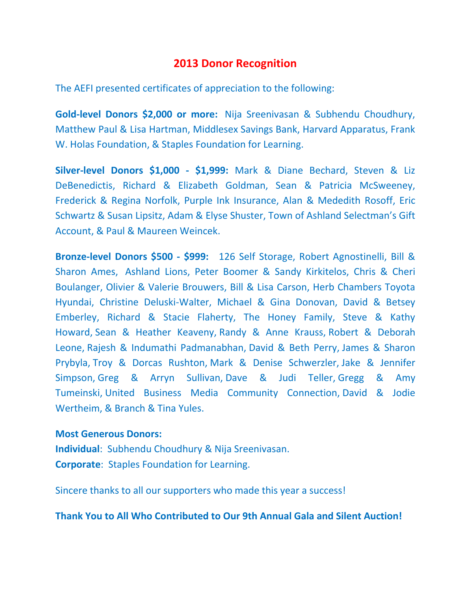## **2013 Donor Recognition**

The AEFI presented certificates of appreciation to the following:

**Gold-level Donors \$2,000 or more:** Nija Sreenivasan & Subhendu Choudhury, Matthew Paul & Lisa Hartman, Middlesex Savings Bank, Harvard Apparatus, Frank W. Holas Foundation, & Staples Foundation for Learning.

**Silver-level Donors \$1,000 - \$1,999:** Mark & Diane Bechard, Steven & Liz DeBenedictis, Richard & Elizabeth Goldman, Sean & Patricia McSweeney, Frederick & Regina Norfolk, Purple Ink Insurance, Alan & Mededith Rosoff, Eric Schwartz & Susan Lipsitz, Adam & Elyse Shuster, Town of Ashland Selectman's Gift Account, & Paul & Maureen Weincek.

**Bronze-level Donors \$500 - \$999:** 126 Self Storage, Robert Agnostinelli, Bill & Sharon Ames, Ashland Lions, Peter Boomer & Sandy Kirkitelos, Chris & Cheri Boulanger, Olivier & Valerie Brouwers, Bill & Lisa Carson, Herb Chambers Toyota Hyundai, Christine Deluski-Walter, Michael & Gina Donovan, David & Betsey Emberley, Richard & Stacie Flaherty, The Honey Family, Steve & Kathy Howard, Sean & Heather Keaveny, Randy & Anne Krauss, Robert & Deborah Leone, Rajesh & Indumathi Padmanabhan, David & Beth Perry, James & Sharon Prybyla, Troy & Dorcas Rushton, Mark & Denise Schwerzler, Jake & Jennifer Simpson, Greg & Arryn Sullivan, Dave & Judi Teller, Gregg & Amy Tumeinski, United Business Media Community Connection, David & Jodie Wertheim, & Branch & Tina Yules.

### **Most Generous Donors:**

**Individual**: Subhendu Choudhury & Nija Sreenivasan. **Corporate**: Staples Foundation for Learning.

Sincere thanks to all our supporters who made this year a success!

**Thank You to All Who Contributed to Our 9th Annual Gala and Silent Auction!**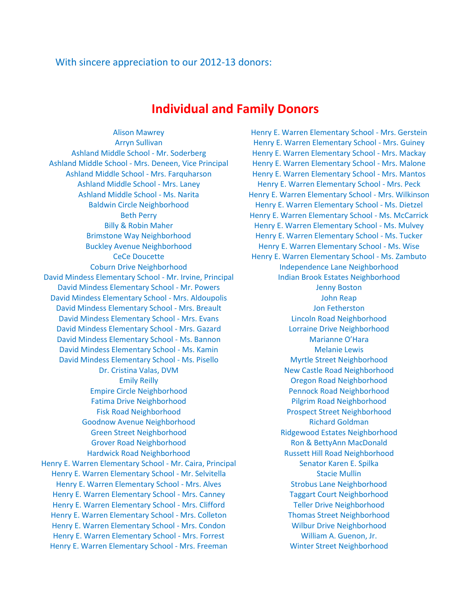#### With sincere appreciation to our 2012-13 donors:

### **Individual and Family Donors**

Ashland Middle School - Mrs. Deneen, Vice Principal Henry E. Warren Elementary School - Mrs. Malone Coburn Drive Neighborhood **Independence Lane Neighborhood Independence Lane Neighborhood** David Mindess Elementary School - Mr. Irvine, Principal Indian Brook Estates Neighborhood David Mindess Elementary School - Mr. Powers Jenny Boston David Mindess Elementary School - Mrs. Aldoupolis and John Reap David Mindess Elementary School - Mrs. Breault **Jon Fetherston** David Mindess Elementary School - Mrs. Evans Lincoln Road Neighborhood David Mindess Elementary School - Mrs. Gazard Lorraine Drive Neighborhood David Mindess Elementary School - Ms. Bannon Marianne O'Hara David Mindess Elementary School - Ms. Kamin Melanie Lewis Melanie Lewis David Mindess Elementary School - Ms. Pisello Myrtle Street Neighborhood Empire Circle Neighborhood Pennock Road Neighborhood Fatima Drive Neighborhood Pilgrim Road Neighborhood Fisk Road Neighborhood Prospect Street Neighborhood Goodnow Avenue Neighborhood and Richard Goldman Richard Goldman Green Street Neighborhood and Ridgewood Estates Neighborhood Grover Road Neighborhood Ron & BettyAnn MacDonald Hardwick Road Neighborhood Russett Hill Road Neighborhood Henry E. Warren Elementary School - Mr. Caira, Principal Senator Karen E. Spilka Henry E. Warren Elementary School - Mr. Selvitella Stacie Mulling Stacie Mullin Henry E. Warren Elementary School - Mrs. Alves Strobus Lane Neighborhood Henry E. Warren Elementary School - Mrs. Canney Taggart Court Neighborhood Henry E. Warren Elementary School - Mrs. Clifford Teller Drive Neighborhood Henry E. Warren Elementary School - Mrs. Colleton Thomas Street Neighborhood Henry E. Warren Elementary School - Mrs. Condon Wilbur Drive Neighborhood Henry E. Warren Elementary School - Mrs. Forrest William A. Guenon, Jr. Henry E. Warren Elementary School - Mrs. Freeman Winter Street Neighborhood

Alison Mawrey **Henry E. Warren Elementary School - Mrs. Gerstein** Arryn Sullivan **Henry E. Warren Elementary School - Mrs. Guiney** Henry E. Warren Elementary School - Mrs. Guiney Ashland Middle School - Mr. Soderberg Henry E. Warren Elementary School - Mrs. Mackay Ashland Middle School - Mrs. Farquharson Henry E. Warren Elementary School - Mrs. Mantos Ashland Middle School - Mrs. Laney Henry E. Warren Elementary School - Mrs. Peck Ashland Middle School - Ms. Narita Henry E. Warren Elementary School - Mrs. Wilkinson Baldwin Circle Neighborhood Henry E. Warren Elementary School - Ms. Dietzel Beth Perry **E. Warren Elementary School - Ms. McCarrick** Billy & Robin Maher **Henry E. Warren Elementary School - Ms. Mulvey** Henry E. Warren Elementary School - Ms. Mulvey Brimstone Way Neighborhood Henry E. Warren Elementary School - Ms. Tucker Buckley Avenue Neighborhood **Henry E. Warren Elementary School - Ms. Wise** CeCe Doucette Henry E. Warren Elementary School - Ms. Zambuto Dr. Cristina Valas, DVM New Castle Road Neighborhood Emily Reilly **Emily Reilly COLLEGAN CONSUMER CONSUMING CONSUMING CONSUMING CONSUMING CONSUMING CONSUMING CONSUMING CONSUMING CONSUMING CONSUMING CONSUMING CONSUMING CONSUMING CONSUMING CONSUMING CONSUMING CONSUMING CONSU**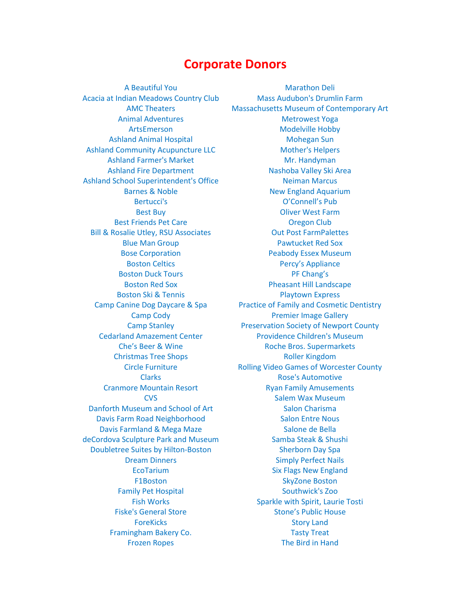# **Corporate Donors**

Acacia at Indian Meadows Country Club Mass Audubon's Drumlin Farm Ashland Animal Hospital Mohegan Sun Ashland Community Acupuncture LLC Mother's Helpers Ashland Farmer's Market Mr. Handyman Ashland School Superintendent's Office Neiman Marcus Best Friends Pet Care Oregon Club Bill & Rosalie Utley, RSU Associates **Out Post FarmPalettes** Boston Duck Tours **PF Chang's** Christmas Tree Shops **Roller Kingdom** Danforth Museum and School of Art Salon Charisma Davis Farm Road Neighborhood Salon Entre Nous Davis Farmland & Mega Maze Salone de Bella deCordova Sculpture Park and Museum Samba Steak & Shushi Doubletree Suites by Hilton-Boston Sherborn Day Spa Framingham Bakery Co. The Contract Contract Contract Contract Contract Contract Contract Contract Contract Contract Contract Contract Contract Contract Contract Contract Contract Contract Contract Contract Contract Contrac

A Beautiful You Marathon Deli AMC Theaters Massachusetts Museum of Contemporary Art Animal Adventures and a metrowest Yoga ArtsEmerson Modelville Hobby Ashland Fire Department Nashoba Valley Ski Area Barnes & Noble New England Aquarium Bertucci's **CONNECT CONNECT CONNECT BETWEEN** Best Buy **Diver West Farm** Blue Man Group **Pawtucket Red Sox Bose Corporation Bose Corporation Peabody Essex Museum** Boston Celtics **Percy's Appliance** Boston Red Sox **Pheasant Hill Landscape** Boston Ski & Tennis **Playtown Express** Camp Canine Dog Daycare & Spa Practice of Family and Cosmetic Dentistry Camp Cody **Premier Image Gallery** Camp Stanley **Preservation Society of Newport County** Cedarland Amazement Center Providence Children's Museum Che's Beer & Wine Roche Bros. Supermarkets Circle Furniture **Rolling Video Games of Worcester County** Clarks **Clarks Rose's Automotive** Cranmore Mountain Resort **Ryan Family Amusements CVS** Salem Wax Museum **Dream Dinners Simply Perfect Nails** EcoTarium Six Flags New England F1Boston SkyZone Boston Family Pet Hospital Southwick's Zoo Fish Works **Sparkle with Spirit, Laurie Tosti** Fiske's General Store Stone's Public House ForeKicks **Story Land** Frozen Ropes The Bird in Hand